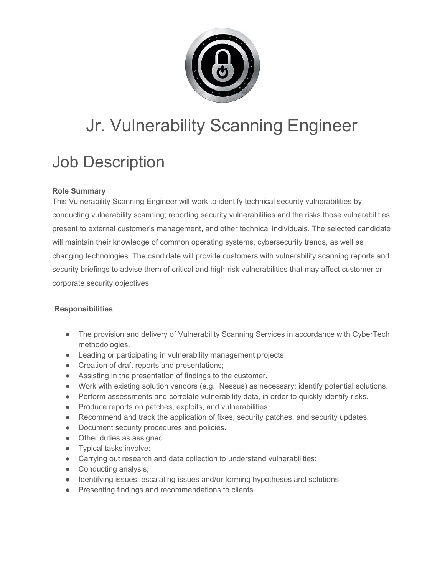

# Jr. Vulnerability Scanning Engineer

## Job Description

### **Role Summary**

This Vulnerability Scanning Engineer will work to identify technical security vulnerabilities by conducting vulnerability scanning; reporting security vulnerabilities and the risks those vulnerabilities present to external customer's management, and other technical individuals. The selected candidate will maintain their knowledge of common operating systems, cybersecurity trends, as well as changing technologies. The candidate will provide customers with vulnerability scanning reports and security briefings to advise them of critical and high-risk vulnerabilities that may affect customer or corporate security objectives

#### **Responsibilities**

- The provision and delivery of Vulnerability Scanning Services in accordance with CyberTech methodologies.
- Leading or participating in vulnerability management projects
- Creation of draft reports and presentations;
- Assisting in the presentation of findings to the customer.
- Work with existing solution vendors (e.g., Nessus) as necessary; identify potential solutions.
- Perform assessments and correlate vulnerability data, in order to quickly identify risks.
- Produce reports on patches, exploits, and vulnerabilities.
- Recommend and track the application of fixes, security patches, and security updates.
- Document security procedures and policies.
- Other duties as assigned.
- Typical tasks involve:
- Carrying out research and data collection to understand vulnerabilities;
- Conducting analysis;
- Identifying issues, escalating issues and/or forming hypotheses and solutions;
- Presenting findings and recommendations to clients.